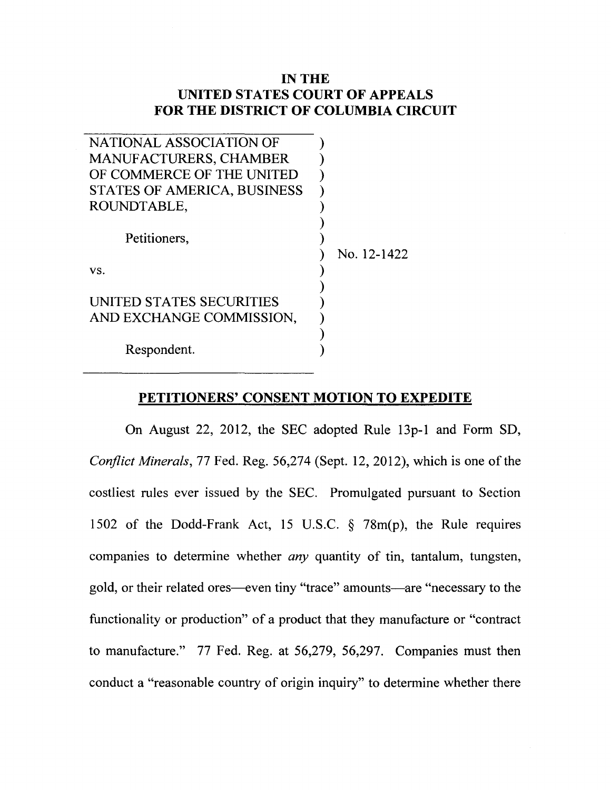## **IN THE UNITED STATES COURT OF APPEALS FOR THE DISTRICT OF COLUMBIA CIRCUIT**

| NATIONAL ASSOCIATION OF       |             |
|-------------------------------|-------------|
| <b>MANUFACTURERS, CHAMBER</b> |             |
| OF COMMERCE OF THE UNITED     |             |
| STATES OF AMERICA, BUSINESS   |             |
| ROUNDTABLE,                   |             |
|                               |             |
| Petitioners,                  |             |
|                               | No. 12-1422 |
| VS.                           |             |
|                               |             |
| UNITED STATES SECURITIES      |             |
| AND EXCHANGE COMMISSION,      |             |
|                               |             |
| Respondent.                   |             |

## **PETITIONERS' CONSENT MOTION TO EXPEDITE**

On August 22, 2012, the SEC adopted Rule 13p-1 and Form SD, *Conflict Minerals,* 77 Fed. Reg. 56,274 (Sept. 12, 2012), which is one of the costliest rules ever issued by the SEC. Promulgated pursuant to Section 1502 of the Dodd-Frank Act, 15 U.S.C. § 78m(p), the Rule requires companies to determine whether *any* quantity of tin, tantalum, tungsten, gold, or their related ores-even tiny "trace" amounts-are "necessary to the functionality or production" of a product that they manufacture or "contract to manufacture." 77 Fed. Reg. at 56,279, 56,297. Companies must then conduct a "reasonable country of origin inquiry" to determine whether there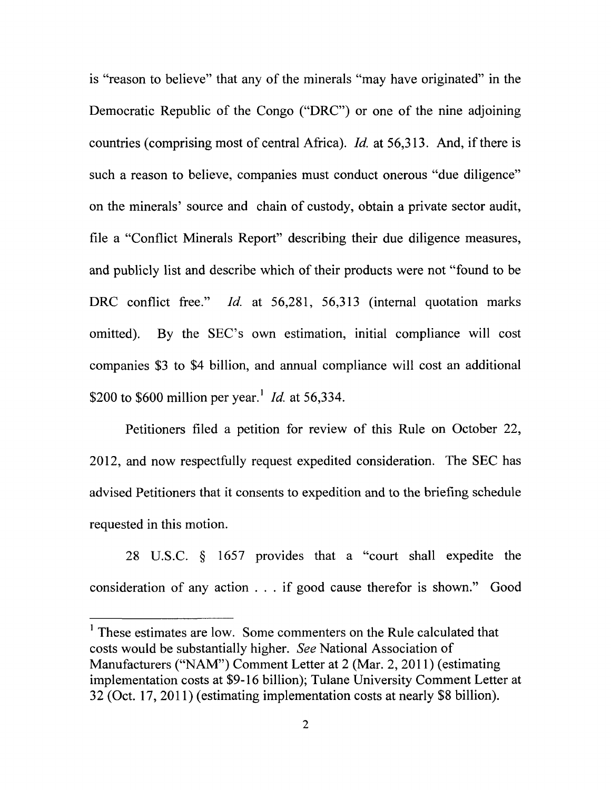is "reason to believe" that any of the minerals "may have originated" in the Democratic Republic of the Congo ("DRC") or one of the nine adjoining countries (comprising most of central Africa). Id. at  $56,313$ . And, if there is such a reason to believe, companies must conduct onerous "due diligence" on the minerals' source and chain of custody, obtain a private sector audit, file a "Conflict Minerals Report" describing their due diligence measures, and publicly list and describe which of their products were not "found to be DRC conflict free." Id. at 56,281, 56,313 (internal quotation marks omitted). By the SEC's own estimation, initial compliance will cost companies \$3 to \$4 billion, and annual compliance will cost an additional \$200 to \$600 million per year.<sup>1</sup> *Id.* at 56,334.

Petitioners filed a petition for review of this Rule on October 22, 2012, and now respectfully request expedited consideration. The SEC has advised Petitioners that it consents to expedition and to the briefing schedule requested in this motion.

28 U.S.C. § 1657 provides that a "court shall expedite the consideration of any action ... if good cause therefor is shown." Good

<sup>&</sup>lt;sup>1</sup> These estimates are low. Some commenters on the Rule calculated that costs would be substantially higher. *See* National Association of Manufacturers ("NAM") Comment Letter at 2 (Mar. 2, 2011) (estimating implementation costs at \$9-16 billion); Tulane University Comment Letter at 32 (Oct. 17, 2011) (estimating implementation costs at nearly \$8 billion).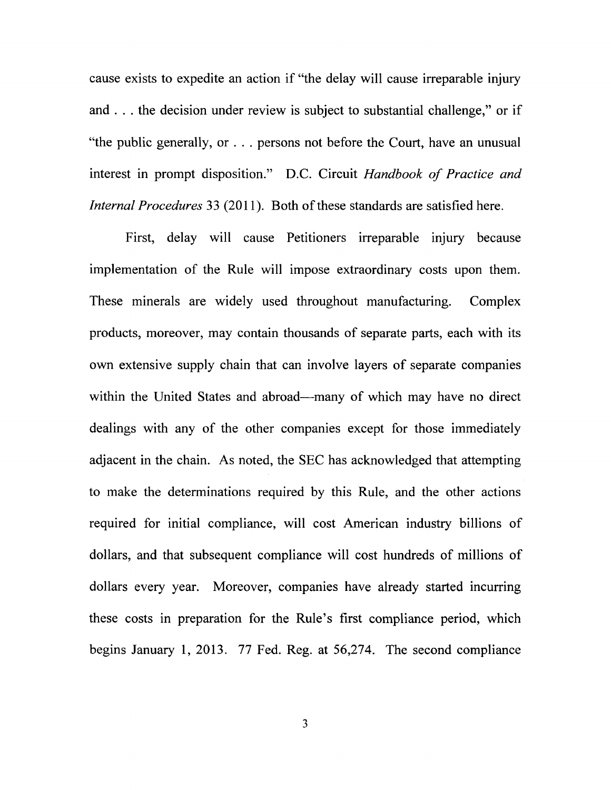cause exists to expedite an action if "the delay will cause irreparable injury and ... the decision under review is subject to substantial challenge," or if "the public generally, or ... persons not before the Court, have an unusual interest in prompt disposition." D.C. Circuit *Handbook of Practice and Internal Procedures* 33 (2011). Both of these standards are satisfied here.

First, delay will cause Petitioners irreparable injury because implementation of the Rule will impose extraordinary costs upon them. These minerals are widely used throughout manufacturing. Complex products, moreover, may contain thousands of separate parts, each with its own extensive supply chain that can involve layers of separate companies within the United States and abroad—many of which may have no direct dealings with any of the other companies except for those immediately adjacent in the chain. As noted, the SEC has acknowledged that attempting to make the determinations required by this Rule, and the other actions required for initial compliance, will cost American industry billions of dollars, and that subsequent compliance will cost hundreds of millions of dollars every year. Moreover, companies have already started incurring these costs in preparation for the Rule's first compliance period, which begins January 1, 2013. 77 Fed. Reg. at 56,274. The second compliance

3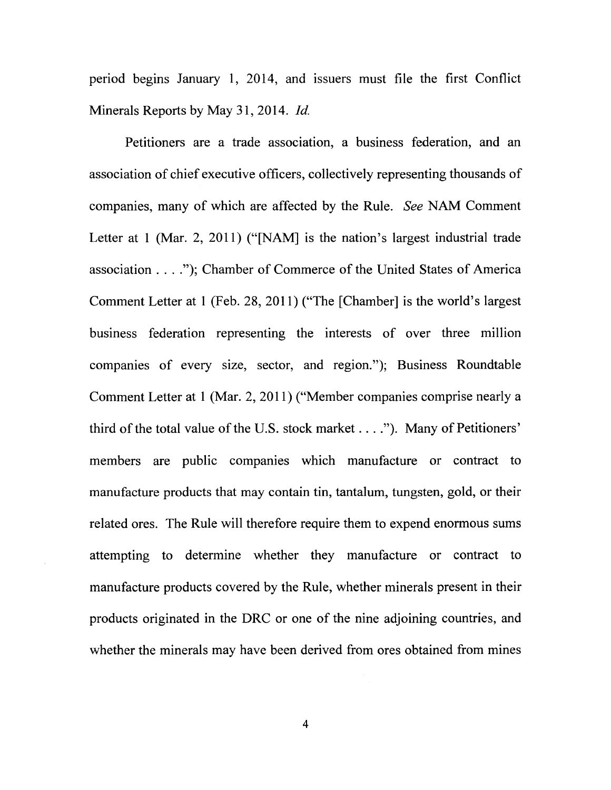period begins January 1, 2014, and issuers must file the first Conflict Minerals Reports by May 31, 2014. *!d.* 

Petitioners are a trade association, a business federation, and an association of chief executive officers, collectively representing thousands of companies, many of which are affected by the Rule. *See* NAM Comment Letter at 1 (Mar. 2, 2011) ("[NAM] is the nation's largest industrial trade association .... "); Chamber of Commerce of the United States of America Comment Letter at 1 (Feb. 28, 2011) ("The [Chamber] is the world's largest business federation representing the interests of over three million companies of every size, sector, and region."); Business Roundtable Comment Letter at 1 (Mar. 2, 2011) ("Member companies comprise nearly a third of the total value of the U.S. stock market  $\dots$ ."). Many of Petitioners' members are public companies which manufacture or contract to manufacture products that may contain tin, tantalum, tungsten, gold, or their related ores. The Rule will therefore require them to expend enormous sums attempting to determine whether they manufacture or contract to manufacture products covered by the Rule, whether minerals present in their products originated in the DRC or one of the nine adjoining countries, and whether the minerals may have been derived from ores obtained from mines

4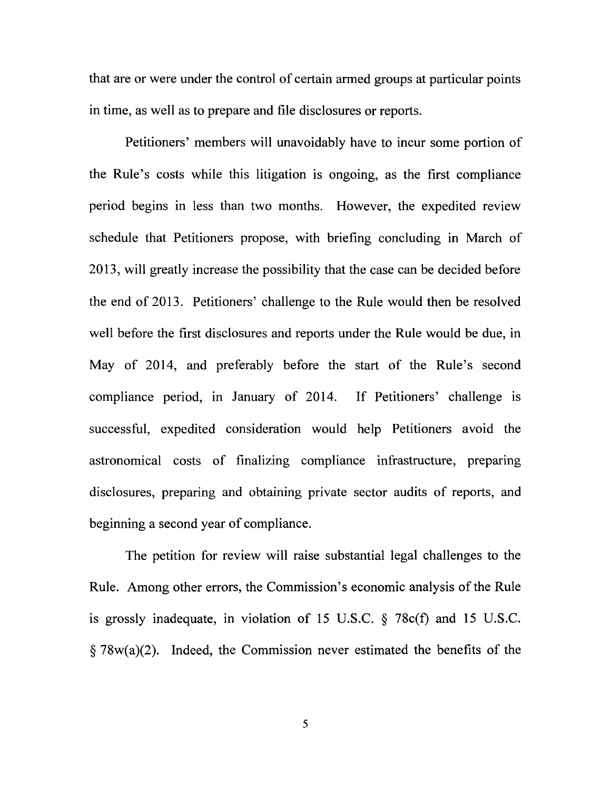that are or were under the control of certain armed groups at particular points in time, as well as to prepare and file disclosures or reports.

Petitioners' members will unavoidably have to incur some portion of the Rule's costs while this litigation is ongoing, as the first compliance period begins in less than two months. However, the expedited review schedule that Petitioners propose, with briefing concluding in March of 2013, will greatly increase the possibility that the case can be decided before the end of 2013. Petitioners' challenge to the Rule would then be resolved well before the first disclosures and reports under the Rule would be due, in May of 2014, and preferably before the start of the Rule's second compliance period, in January of 2014. If Petitioners' challenge is successful, expedited consideration would help Petitioners avoid the astronomical costs of finalizing compliance infrastructure, preparing disclosures, preparing and obtaining private sector audits of reports, and beginning a second year of compliance.

The petition for review will raise substantial legal challenges to the Rule. Among other errors, the Commission's economic analysis of the Rule is grossly inadequate, in violation of 15 U.S.C.  $\S$  78c(f) and 15 U.S.C.  $\S 78w(a)(2)$ . Indeed, the Commission never estimated the benefits of the

5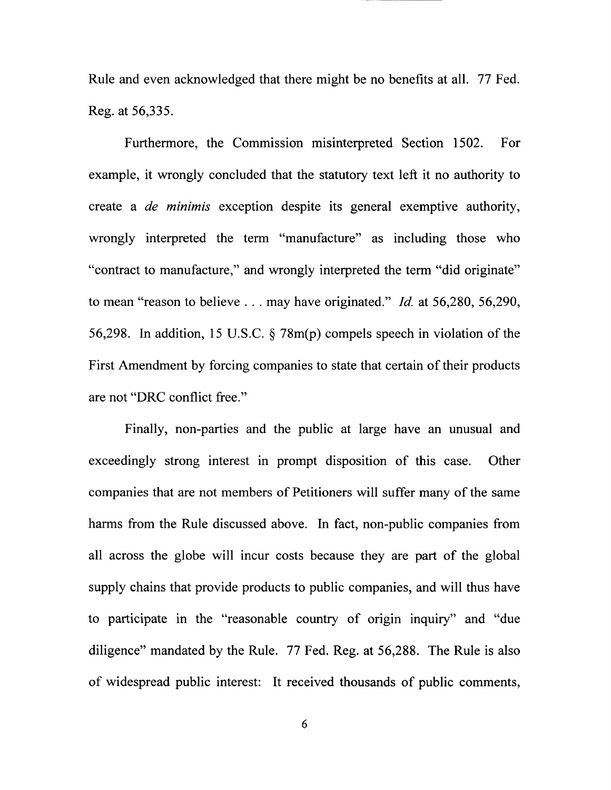Rule and even acknowledged that there might be no benefits at all. 77 Fed. Reg. at 56,335.

--- ----------

Furthermore, the Commission misinterpreted Section 1502. For example, it wrongly concluded that the statutory text left it no authority to create a *de minimis* exception despite its general exemptive authority, wrongly interpreted the term "manufacture" as including those who "contract to manufacture," and wrongly interpreted the term "did originate" to mean "reason to believe ... may have originated." *!d.* at 56,280, 56,290, 56,298. In addition, 15 U.S.C. § 78m(p) compels speech in violation of the First Amendment by forcing companies to state that certain of their products are not "DRC conflict free."

Finally, non-parties and the public at large have an unusual and exceedingly strong interest in prompt disposition of this case. Other companies that are not members of Petitioners will suffer many of the same harms from the Rule discussed above. In fact, non-public companies from all across the globe will incur costs because they are part of the global supply chains that provide products to public companies, and will thus have to participate in the "reasonable country of origin inquiry" and "due diligence" mandated by the Rule. 77 Fed. Reg. at 56,288. The Rule is also of widespread public interest: It received thousands of public comments,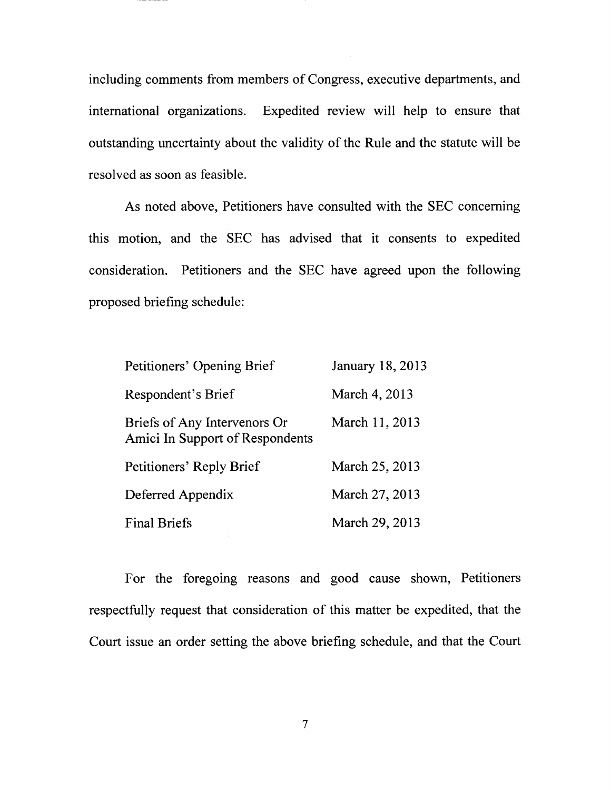including comments from members of Congress, executive departments, and international organizations. Expedited review will help to ensure that outstanding uncertainty about the validity of the Rule and the statute will be resolved as soon as feasible.

As noted above, Petitioners have consulted with the SEC concerning this motion, and the SEC has advised that it consents to expedited consideration. Petitioners and the SEC have agreed upon the following proposed briefing schedule:

| Petitioners' Opening Brief                                      | January 18, 2013 |
|-----------------------------------------------------------------|------------------|
| Respondent's Brief                                              | March 4, 2013    |
| Briefs of Any Intervenors Or<br>Amici In Support of Respondents | March 11, 2013   |
| Petitioners' Reply Brief                                        | March 25, 2013   |
| Deferred Appendix                                               | March 27, 2013   |
| <b>Final Briefs</b>                                             | March 29, 2013   |

For the foregoing reasons and good cause shown, Petitioners respectfully request that consideration of this matter be expedited, that the Court issue an order setting the above briefing schedule, and that the Court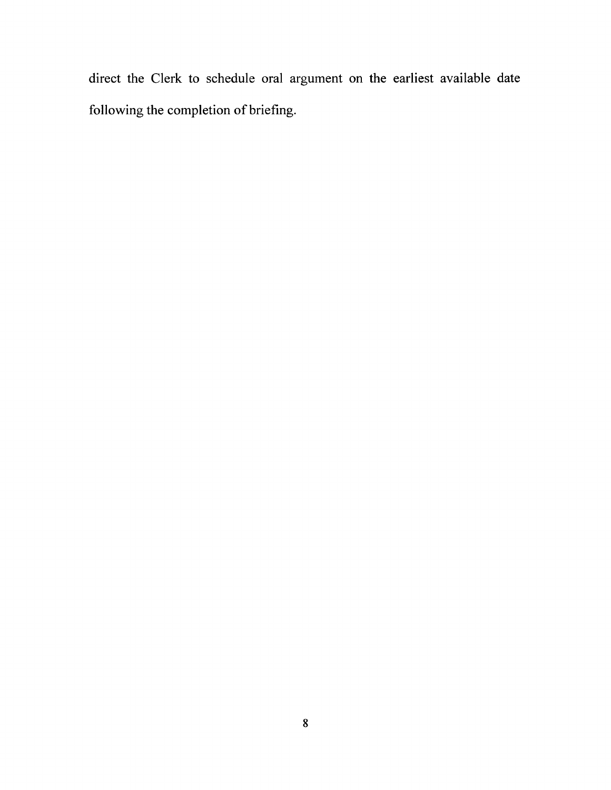direct the Clerk to schedule oral argument on the earliest available date following the completion of briefing.